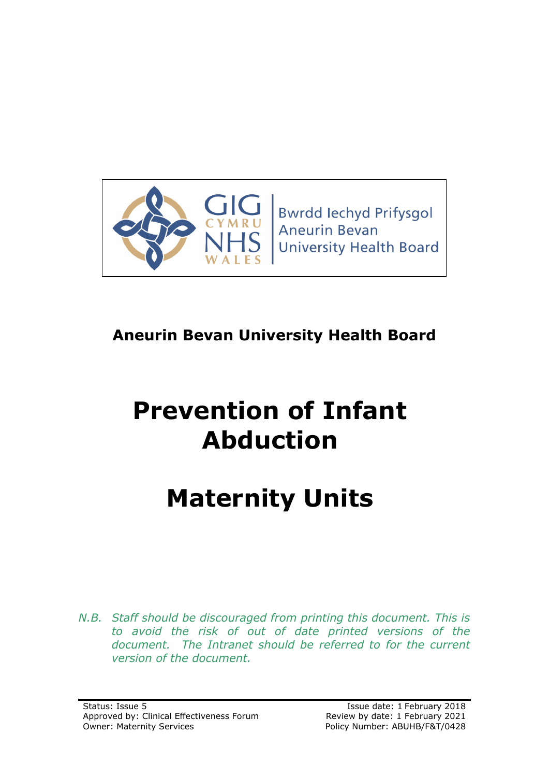

# **Aneurin Bevan University Health Board**

# **Prevention of Infant Abduction**

# **Maternity Units**

*N.B. Staff should be discouraged from printing this document. This is to avoid the risk of out of date printed versions of the document. The Intranet should be referred to for the current version of the document.*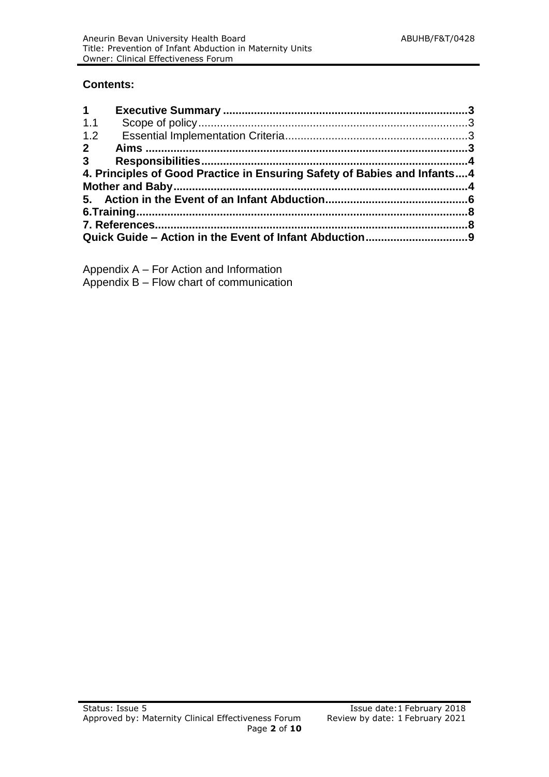#### **Contents:**

| $1 \quad$                                                                |  |  |  |  |
|--------------------------------------------------------------------------|--|--|--|--|
| 1.1                                                                      |  |  |  |  |
| 1.2                                                                      |  |  |  |  |
| $\overline{2}$                                                           |  |  |  |  |
|                                                                          |  |  |  |  |
| 4. Principles of Good Practice in Ensuring Safety of Babies and Infants4 |  |  |  |  |
|                                                                          |  |  |  |  |
|                                                                          |  |  |  |  |
|                                                                          |  |  |  |  |
|                                                                          |  |  |  |  |
|                                                                          |  |  |  |  |

Appendix A – For Action and Information Appendix B – Flow chart of communication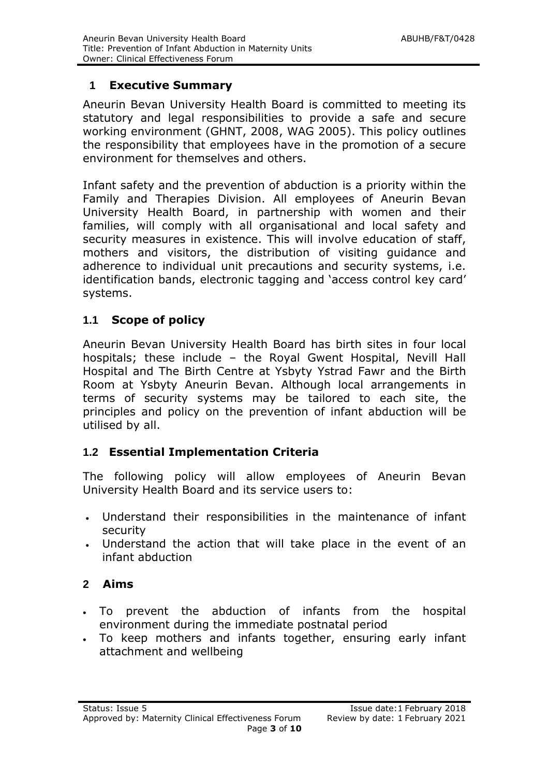# **1 Executive Summary**

Aneurin Bevan University Health Board is committed to meeting its statutory and legal responsibilities to provide a safe and secure working environment (GHNT, 2008, WAG 2005). This policy outlines the responsibility that employees have in the promotion of a secure environment for themselves and others.

Infant safety and the prevention of abduction is a priority within the Family and Therapies Division. All employees of Aneurin Bevan University Health Board, in partnership with women and their families, will comply with all organisational and local safety and security measures in existence. This will involve education of staff, mothers and visitors, the distribution of visiting guidance and adherence to individual unit precautions and security systems, i.e. identification bands, electronic tagging and 'access control key card' systems.

# **1.1 Scope of policy**

Aneurin Bevan University Health Board has birth sites in four local hospitals; these include – the Royal Gwent Hospital, Nevill Hall Hospital and The Birth Centre at Ysbyty Ystrad Fawr and the Birth Room at Ysbyty Aneurin Bevan. Although local arrangements in terms of security systems may be tailored to each site, the principles and policy on the prevention of infant abduction will be utilised by all.

# **1.2 Essential Implementation Criteria**

The following policy will allow employees of Aneurin Bevan University Health Board and its service users to:

- Understand their responsibilities in the maintenance of infant security
- Understand the action that will take place in the event of an infant abduction

# **2 Aims**

- To prevent the abduction of infants from the hospital environment during the immediate postnatal period
- To keep mothers and infants together, ensuring early infant attachment and wellbeing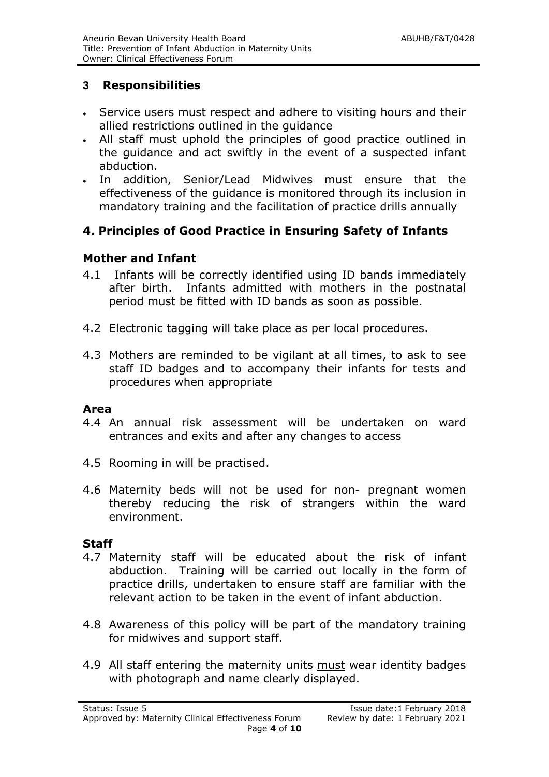## **3 Responsibilities**

- Service users must respect and adhere to visiting hours and their allied restrictions outlined in the guidance
- All staff must uphold the principles of good practice outlined in the guidance and act swiftly in the event of a suspected infant abduction.
- In addition, Senior/Lead Midwives must ensure that the effectiveness of the guidance is monitored through its inclusion in mandatory training and the facilitation of practice drills annually

# **4. Principles of Good Practice in Ensuring Safety of Infants**

## **Mother and Infant**

- 4.1 Infants will be correctly identified using ID bands immediately after birth. Infants admitted with mothers in the postnatal period must be fitted with ID bands as soon as possible.
- 4.2 Electronic tagging will take place as per local procedures.
- 4.3 Mothers are reminded to be vigilant at all times, to ask to see staff ID badges and to accompany their infants for tests and procedures when appropriate

#### **Area**

- 4.4 An annual risk assessment will be undertaken on ward entrances and exits and after any changes to access
- 4.5 Rooming in will be practised.
- 4.6 Maternity beds will not be used for non- pregnant women thereby reducing the risk of strangers within the ward environment.

#### **Staff**

- 4.7 Maternity staff will be educated about the risk of infant abduction. Training will be carried out locally in the form of practice drills, undertaken to ensure staff are familiar with the relevant action to be taken in the event of infant abduction.
- 4.8 Awareness of this policy will be part of the mandatory training for midwives and support staff.
- 4.9 All staff entering the maternity units must wear identity badges with photograph and name clearly displayed.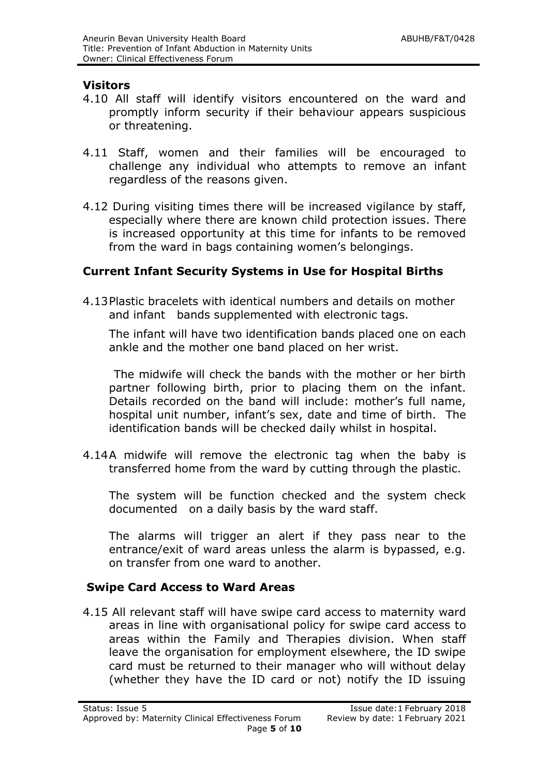#### **Visitors**

- 4.10 All staff will identify visitors encountered on the ward and promptly inform security if their behaviour appears suspicious or threatening.
- 4.11 Staff, women and their families will be encouraged to challenge any individual who attempts to remove an infant regardless of the reasons given.
- 4.12 During visiting times there will be increased vigilance by staff, especially where there are known child protection issues. There is increased opportunity at this time for infants to be removed from the ward in bags containing women's belongings.

#### **Current Infant Security Systems in Use for Hospital Births**

4.13Plastic bracelets with identical numbers and details on mother and infant bands supplemented with electronic tags.

The infant will have two identification bands placed one on each ankle and the mother one band placed on her wrist.

 The midwife will check the bands with the mother or her birth partner following birth, prior to placing them on the infant. Details recorded on the band will include: mother's full name, hospital unit number, infant's sex, date and time of birth. The identification bands will be checked daily whilst in hospital.

4.14A midwife will remove the electronic tag when the baby is transferred home from the ward by cutting through the plastic.

The system will be function checked and the system check documented on a daily basis by the ward staff.

The alarms will trigger an alert if they pass near to the entrance/exit of ward areas unless the alarm is bypassed, e.g. on transfer from one ward to another.

#### **Swipe Card Access to Ward Areas**

4.15 All relevant staff will have swipe card access to maternity ward areas in line with organisational policy for swipe card access to areas within the Family and Therapies division. When staff leave the organisation for employment elsewhere, the ID swipe card must be returned to their manager who will without delay (whether they have the ID card or not) notify the ID issuing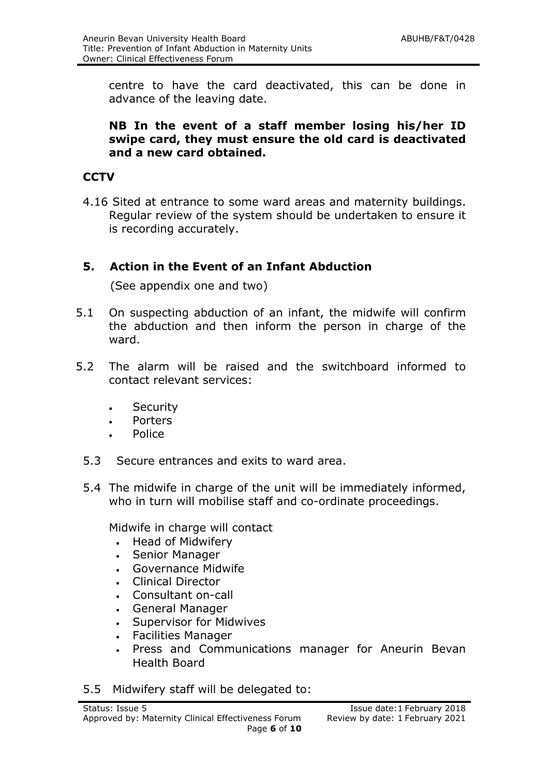centre to have the card deactivated, this can be done in advance of the leaving date.

#### **NB In the event of a staff member losing his/her ID swipe card, they must ensure the old card is deactivated and a new card obtained.**

#### **CCTV**

4.16 Sited at entrance to some ward areas and maternity buildings. Regular review of the system should be undertaken to ensure it is recording accurately.

## **5. Action in the Event of an Infant Abduction**

(See appendix one and two)

- 5.1 On suspecting abduction of an infant, the midwife will confirm the abduction and then inform the person in charge of the ward.
- 5.2 The alarm will be raised and the switchboard informed to contact relevant services:
	- **Security**
	- Porters
	- Police
	- 5.3 Secure entrances and exits to ward area.
	- 5.4 The midwife in charge of the unit will be immediately informed, who in turn will mobilise staff and co-ordinate proceedings.

Midwife in charge will contact

- Head of Midwifery
- Senior Manager
- Governance Midwife
- Clinical Director
- Consultant on-call
- General Manager
- Supervisor for Midwives
- Facilities Manager
- Press and Communications manager for Aneurin Bevan Health Board
- 5.5 Midwifery staff will be delegated to: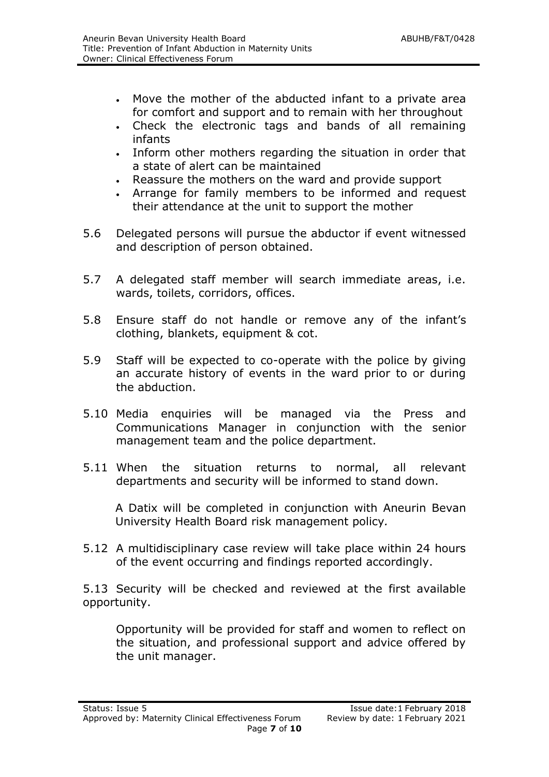- Move the mother of the abducted infant to a private area for comfort and support and to remain with her throughout
- Check the electronic tags and bands of all remaining infants
- Inform other mothers regarding the situation in order that a state of alert can be maintained
- Reassure the mothers on the ward and provide support
- Arrange for family members to be informed and request their attendance at the unit to support the mother
- 5.6 Delegated persons will pursue the abductor if event witnessed and description of person obtained.
- 5.7 A delegated staff member will search immediate areas, i.e. wards, toilets, corridors, offices.
- 5.8 Ensure staff do not handle or remove any of the infant's clothing, blankets, equipment & cot.
- 5.9 Staff will be expected to co-operate with the police by giving an accurate history of events in the ward prior to or during the abduction.
- 5.10 Media enquiries will be managed via the Press and Communications Manager in conjunction with the senior management team and the police department.
- 5.11 When the situation returns to normal, all relevant departments and security will be informed to stand down.

A Datix will be completed in conjunction with Aneurin Bevan University Health Board risk management policy*.*

5.12 A multidisciplinary case review will take place within 24 hours of the event occurring and findings reported accordingly.

5.13 Security will be checked and reviewed at the first available opportunity.

Opportunity will be provided for staff and women to reflect on the situation, and professional support and advice offered by the unit manager.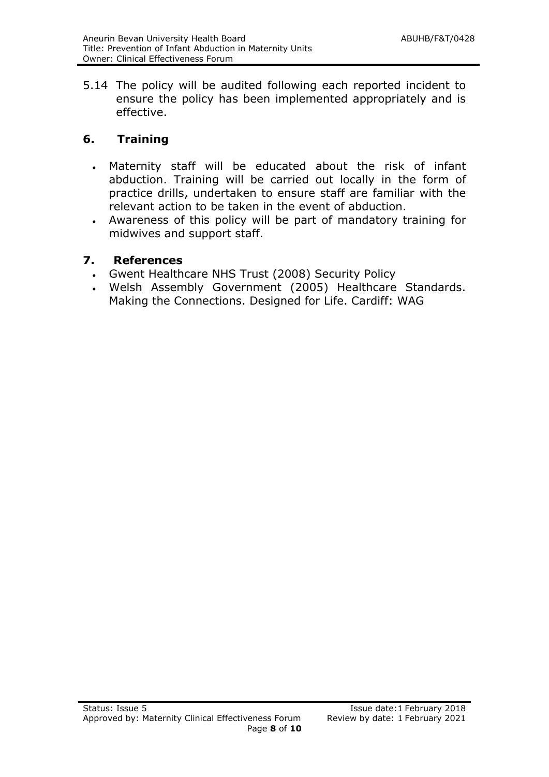5.14 The policy will be audited following each reported incident to ensure the policy has been implemented appropriately and is effective.

# **6. Training**

- Maternity staff will be educated about the risk of infant abduction. Training will be carried out locally in the form of practice drills, undertaken to ensure staff are familiar with the relevant action to be taken in the event of abduction.
- Awareness of this policy will be part of mandatory training for midwives and support staff.

#### **7. References**

- Gwent Healthcare NHS Trust (2008) Security Policy
- Welsh Assembly Government (2005) Healthcare Standards. Making the Connections. Designed for Life. Cardiff: WAG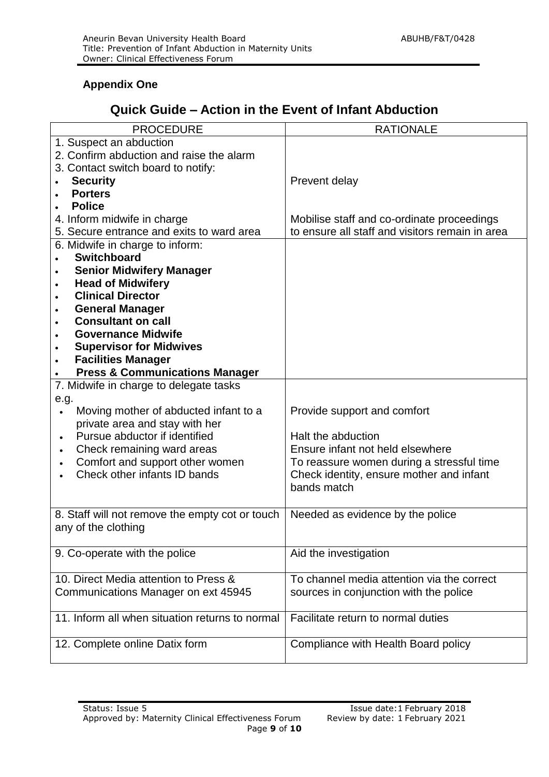#### **Appendix One**

# **Quick Guide – Action in the Event of Infant Abduction**

| <b>PROCEDURE</b>                                                       | <b>RATIONALE</b>                                |
|------------------------------------------------------------------------|-------------------------------------------------|
| 1. Suspect an abduction                                                |                                                 |
| 2. Confirm abduction and raise the alarm                               |                                                 |
| 3. Contact switch board to notify:                                     |                                                 |
| <b>Security</b>                                                        | Prevent delay                                   |
| <b>Porters</b>                                                         |                                                 |
| <b>Police</b>                                                          |                                                 |
| 4. Inform midwife in charge                                            | Mobilise staff and co-ordinate proceedings      |
| 5. Secure entrance and exits to ward area                              | to ensure all staff and visitors remain in area |
| 6. Midwife in charge to inform:                                        |                                                 |
| <b>Switchboard</b>                                                     |                                                 |
| <b>Senior Midwifery Manager</b>                                        |                                                 |
| <b>Head of Midwifery</b><br>$\bullet$                                  |                                                 |
| <b>Clinical Director</b><br>$\bullet$                                  |                                                 |
| <b>General Manager</b>                                                 |                                                 |
| <b>Consultant on call</b><br>$\bullet$                                 |                                                 |
| <b>Governance Midwife</b>                                              |                                                 |
| <b>Supervisor for Midwives</b>                                         |                                                 |
| <b>Facilities Manager</b>                                              |                                                 |
| <b>Press &amp; Communications Manager</b>                              |                                                 |
| 7. Midwife in charge to delegate tasks                                 |                                                 |
| e.g.                                                                   |                                                 |
| Moving mother of abducted infant to a                                  | Provide support and comfort                     |
| private area and stay with her                                         |                                                 |
| Pursue abductor if identified<br>$\bullet$                             | Halt the abduction                              |
| Check remaining ward areas                                             | Ensure infant not held elsewhere                |
| Comfort and support other women                                        | To reassure women during a stressful time       |
| Check other infants ID bands                                           | Check identity, ensure mother and infant        |
|                                                                        | bands match                                     |
|                                                                        |                                                 |
|                                                                        |                                                 |
| 8. Staff will not remove the empty cot or touch<br>any of the clothing | Needed as evidence by the police                |
|                                                                        |                                                 |
|                                                                        |                                                 |
| 9. Co-operate with the police                                          | Aid the investigation                           |
|                                                                        |                                                 |
| 10. Direct Media attention to Press &                                  | To channel media attention via the correct      |
| Communications Manager on ext 45945                                    | sources in conjunction with the police          |
|                                                                        |                                                 |
| 11. Inform all when situation returns to normal                        | Facilitate return to normal duties              |
|                                                                        |                                                 |
| 12. Complete online Datix form                                         | Compliance with Health Board policy             |
|                                                                        |                                                 |